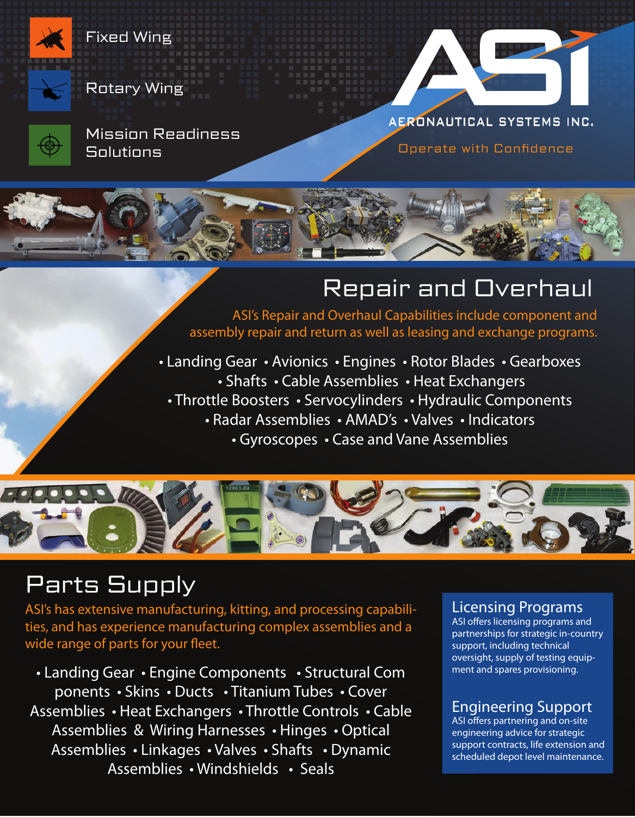

# Fixed Wing



Rotary Wing



Mission Readiness Solutions



AERONAUTICAL SYSTEMS INC.

Operate with Confidence

# Repair and Overhaul

ASI's Repair and Overhaul Capabilities include component and assembly repair and return as well as leasing and exchange programs.

• Landing Gear • Avionics • Engines • Rotor Blades • Gearboxes • Shafts • Cable Assemblies • Heat Exchangers • Throttle Boosters • Servocylinders • Hydraulic Components • Radar Assemblies • AMAD's • Valves • Indicators • Gyroscopes • Case and Vane Assemblies



# Parts Supply

ASI's has extensive manufacturing, kitting, and processing capabilities, and has experience manufacturing complex assemblies and a wide range of parts for your fleet.

• Landing Gear • Engine Components • Structural Com ponents • Skins • Ducts • Titanium Tubes • Cover Assemblies • Heat Exchangers • Throttle Controls • Cable Assemblies & Wiring Harnesses • Hinges • Optical Assemblies • Linkages • Valves • Shafts • Dynamic Assemblies • Windshields • Seals

# Licensing Programs

ASI offers licensing programs and partnerships for strategic in-country support, including technical oversight, supply of testing equipment and spares provisioning.

# Engineering Support

ASI offers partnering and on-site engineering advice for strategic support contracts, life extension and scheduled depot level maintenance.